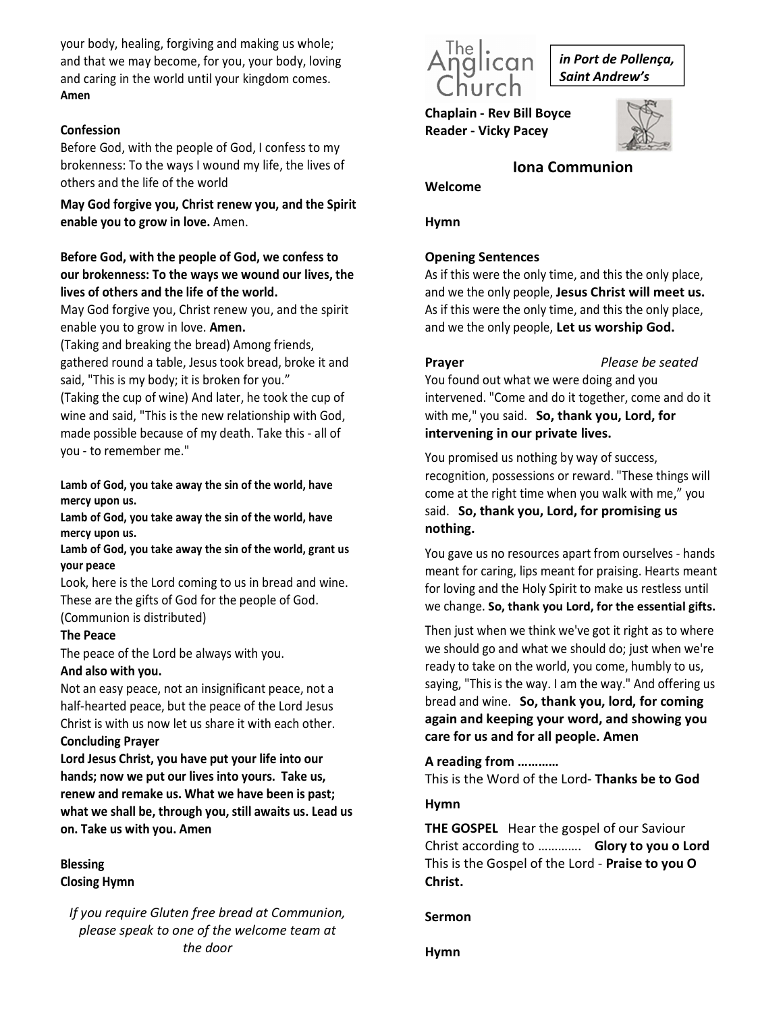your body, healing, forgiving and making us whole; and that we may become, for you, your body, loving and caring in the world until your kingdom comes. Amen

# Confession

Before God, with the people of God, I confess to my brokenness: To the ways I wound my life, the lives of others and the life of the world

May God forgive you, Christ renew you, and the Spirit enable you to grow in love. Amen.

# Before God, with the people of God, we confess to our brokenness: To the ways we wound our lives, the lives of others and the life of the world.

May God forgive you, Christ renew you, and the spirit enable you to grow in love. Amen.

(Taking and breaking the bread) Among friends, gathered round a table, Jesus took bread, broke it and **Prayer** said, "This is my body; it is broken for you."

(Taking the cup of wine) And later, he took the cup of wine and said, "This is the new relationship with God, made possible because of my death. Take this - all of you - to remember me."

Lamb of God, you take away the sin of the world, have mercy upon us.

Lamb of God, you take away the sin of the world, have mercy upon us.

Lamb of God, you take away the sin of the world, grant us your peace

Look, here is the Lord coming to us in bread and wine. These are the gifts of God for the people of God. (Communion is distributed)

# The Peace

The peace of the Lord be always with you.

And also with you.<br>Not an easy peace, not an insignificant peace, not a half-hearted peace, but the peace of the Lord Jesus Christ is with us now let us share it with each other.

### Concluding Prayer

Lord Jesus Christ, you have put your life into our hands; now we put our lives into yours. Take us, renew and remake us. What we have been is past; what we shall be, through you, still awaits us. Lead us on. Take us with you. Amen

# Blessing

Closing Hymn

If you require Gluten free bread at Communion, please speak to one of the welcome team at the door



in Port de Pollença, Saint Andrew's

Chaplain - Rev Bill Boyce Reader - Vicky Pacey



Iona Communion

Hymn

Welcome

# Opening Sentences

As if this were the only time, and this the only place, and we the only people, Jesus Christ will meet us. As if this were the only time, and this the only place, and we the only people, Let us worship God.

Please be seated

You found out what we were doing and you intervened. "Come and do it together, come and do it with me," you said. So, thank you, Lord, for intervening in our private lives.

You promised us nothing by way of success, recognition, possessions or reward. "These things will come at the right time when you walk with me," you said. So, thank you, Lord, for promising us nothing.

You gave us no resources apart from ourselves - hands meant for caring, lips meant for praising. Hearts meant for loving and the Holy Spirit to make us restless until we change. So, thank you Lord, for the essential gifts.

Then just when we think we've got it right as to where we should go and what we should do; just when we're ready to take on the world, you come, humbly to us, saying, "This is the way. I am the way." And offering us bread and wine. So, thank you, lord, for coming again and keeping your word, and showing you care for us and for all people. Amen

# A reading from …………

This is the Word of the Lord- Thanks be to God

# Hymn

THE GOSPEL Hear the gospel of our Saviour Christ according to …………. Glory to you o Lord This is the Gospel of the Lord - Praise to you O Christ.

Sermon

Hymn